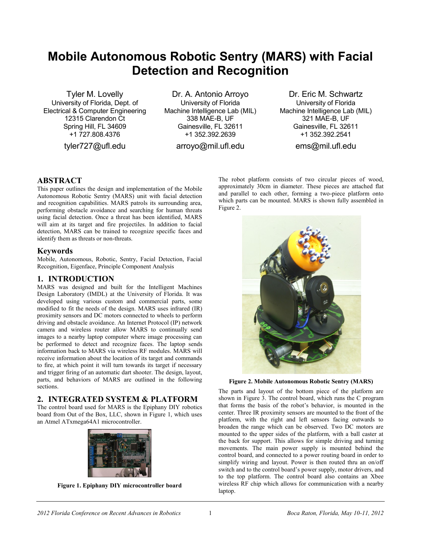# **Mobile Autonomous Robotic Sentry (MARS) with Facial Detection and Recognition**

Tyler M. Lovelly University of Florida, Dept. of Electrical & Computer Engineering 12315 Clarendon Ct Spring Hill, FL 34609 +1 727.808.4376

tyler727@ufl.edu

Dr. A. Antonio Arroyo University of Florida Machine Intelligence Lab (MIL) 338 MAE-B, UF Gainesville, FL 32611 +1 352.392.2639

arroyo@mil.ufl.edu

Dr. Eric M. Schwartz University of Florida Machine Intelligence Lab (MIL) 321 MAE-B, UF Gainesville, FL 32611 +1 352.392.2541

ems@mil.ufl.edu

### **ABSTRACT**

This paper outlines the design and implementation of the Mobile Autonomous Robotic Sentry (MARS) unit with facial detection and recognition capabilities. MARS patrols its surrounding area, performing obstacle avoidance and searching for human threats using facial detection. Once a threat has been identified, MARS will aim at its target and fire projectiles. In addition to facial detection, MARS can be trained to recognize specific faces and identify them as threats or non-threats.

#### **Keywords**

Mobile, Autonomous, Robotic, Sentry, Facial Detection, Facial Recognition, Eigenface, Principle Component Analysis

# **1. INTRODUCTION**

MARS was designed and built for the Intelligent Machines Design Laboratory (IMDL) at the University of Florida. It was developed using various custom and commercial parts, some modified to fit the needs of the design. MARS uses infrared (IR) proximity sensors and DC motors connected to wheels to perform driving and obstacle avoidance. An Internet Protocol (IP) network camera and wireless router allow MARS to continually send images to a nearby laptop computer where image processing can be performed to detect and recognize faces. The laptop sends information back to MARS via wireless RF modules. MARS will receive information about the location of its target and commands to fire, at which point it will turn towards its target if necessary and trigger firing of an automatic dart shooter. The design, layout, parts, and behaviors of MARS are outlined in the following sections.

# **2. INTEGRATED SYSTEM & PLATFORM**

The control board used for MARS is the Epiphany DIY robotics board from Out of the Box, LLC, shown in Figure 1, which uses an Atmel ATxmega64A1 microcontroller.



**Figure 1. Epiphany DIY microcontroller board**

The robot platform consists of two circular pieces of wood, approximately 30cm in diameter. These pieces are attached flat and parallel to each other, forming a two-piece platform onto which parts can be mounted. MARS is shown fully assembled in Figure 2.



**Figure 2. Mobile Autonomous Robotic Sentry (MARS)**

The parts and layout of the bottom piece of the platform are shown in Figure 3. The control board, which runs the C program that forms the basis of the robot's behavior, is mounted in the center. Three IR proximity sensors are mounted to the front of the platform, with the right and left sensors facing outwards to broaden the range which can be observed. Two DC motors are mounted to the upper sides of the platform, with a ball caster at the back for support. This allows for simple driving and turning movements. The main power supply is mounted behind the control board, and connected to a power routing board in order to simplify wiring and layout. Power is then routed thru an on/off switch and to the control board's power supply, motor drivers, and to the top platform. The control board also contains an Xbee wireless RF chip which allows for communication with a nearby laptop.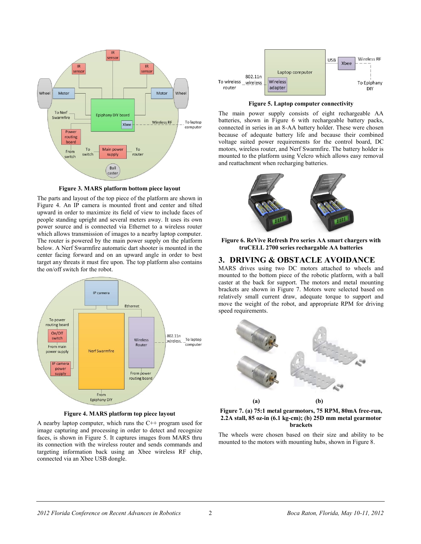

**Figure 3. MARS platform bottom piece layout**

The parts and layout of the top piece of the platform are shown in Figure 4. An IP camera is mounted front and center and tilted upward in order to maximize its field of view to include faces of people standing upright and several meters away. It uses its own power source and is connected via Ethernet to a wireless router which allows transmission of images to a nearby laptop computer. The router is powered by the main power supply on the platform below. A Nerf Swarmfire automatic dart shooter is mounted in the center facing forward and on an upward angle in order to best target any threats it must fire upon. The top platform also contains the on/off switch for the robot.



**Figure 4. MARS platform top piece layout**

A nearby laptop computer, which runs the C++ program used for image capturing and processing in order to detect and recognize faces, is shown in Figure 5. It captures images from MARS thru its connection with the wireless router and sends commands and targeting information back using an Xbee wireless RF chip, connected via an Xbee USB dongle.



**Figure 5. Laptop computer connectivity**

The main power supply consists of eight rechargeable AA batteries, shown in Figure 6 with rechargeable battery packs, connected in series in an 8-AA battery holder. These were chosen because of adequate battery life and because their combined voltage suited power requirements for the control board, DC motors, wireless router, and Nerf Swarmfire. The battery holder is mounted to the platform using Velcro which allows easy removal and reattachment when recharging batteries.



**Figure 6. ReVive Refresh Pro series AA smart chargers with truCELL 2700 series rechargable AA batteries**

### **3. DRIVING & OBSTACLE AVOIDANCE**

MARS drives using two DC motors attached to wheels and mounted to the bottom piece of the robotic platform, with a ball caster at the back for support. The motors and metal mounting brackets are shown in Figure 7. Motors were selected based on relatively small current draw, adequate torque to support and move the weight of the robot, and appropriate RPM for driving speed requirements.





The wheels were chosen based on their size and ability to be mounted to the motors with mounting hubs, shown in Figure 8.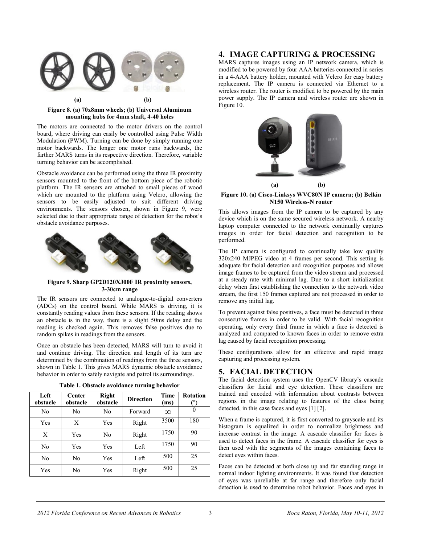

**Figure 8. (a) 70x8mm wheels; (b) Universal Aluminum mounting hubs for 4mm shaft, 4-40 holes**

The motors are connected to the motor drivers on the control board, where driving can easily be controlled using Pulse Width Modulation (PWM). Turning can be done by simply running one motor backwards. The longer one motor runs backwards, the farther MARS turns in its respective direction. Therefore, variable turning behavior can be accomplished.

Obstacle avoidance can be performed using the three IR proximity sensors mounted to the front of the bottom piece of the robotic platform. The IR sensors are attached to small pieces of wood which are mounted to the platform using Velcro, allowing the sensors to be easily adjusted to suit different driving environments. The sensors chosen, shown in Figure 9, were selected due to their appropriate range of detection for the robot's obstacle avoidance purposes.



#### **Figure 9. Sharp GP2D120XJ00F IR proximity sensors, 3-30cm range**

The IR sensors are connected to analogue-to-digital converters (ADCs) on the control board. While MARS is driving, it is constantly reading values from these sensors. If the reading shows an obstacle is in the way, there is a slight 50ms delay and the reading is checked again. This removes false positives due to random spikes in readings from the sensors.

Once an obstacle has been detected, MARS will turn to avoid it and continue driving. The direction and length of its turn are determined by the combination of readings from the three sensors, shown in Table 1. This gives MARS dynamic obstacle avoidance behavior in order to safely navigate and patrol its surroundings.

| Table 1. Obstacle avoidance turning behavior |  |  |  |  |  |
|----------------------------------------------|--|--|--|--|--|
|----------------------------------------------|--|--|--|--|--|

| Left<br>obstacle | Center<br>obstacle | Right<br>obstacle | <b>Direction</b> | Time<br>(ms) | <b>Rotation</b> |
|------------------|--------------------|-------------------|------------------|--------------|-----------------|
| No               | No                 | No                | Forward          | $\infty$     | 0               |
| Yes              | X                  | Yes               | Right            | 3500         | 180             |
| X                | Yes                | No                | Right            | 1750         | 90              |
| No               | Yes                | Yes               | Left             | 1750         | 90              |
| No               | No                 | Yes               | Left             | 500          | 25              |
| Yes              | No                 | Yes               | Right            | 500          | 25              |

# **4. IMAGE CAPTURING & PROCESSING**

MARS captures images using an IP network camera, which is modified to be powered by four AAA batteries connected in series in a 4-AAA battery holder, mounted with Velcro for easy battery replacement. The IP camera is connected via Ethernet to a wireless router. The router is modified to be powered by the main power supply. The IP camera and wireless router are shown in Figure 10.



**Figure 10. (a) Cisco-Linksys WVC80N IP camera; (b) Belkin N150 Wireless-N router**

This allows images from the IP camera to be captured by any device which is on the same secured wireless network. A nearby laptop computer connected to the network continually captures images in order for facial detection and recognition to be performed.

The IP camera is configured to continually take low quality 320x240 MJPEG video at 4 frames per second. This setting is adequate for facial detection and recognition purposes and allows image frames to be captured from the video stream and processed at a steady rate with minimal lag. Due to a short initialization delay when first establishing the connection to the network video stream, the first 150 frames captured are not processed in order to remove any initial lag.

To prevent against false positives, a face must be detected in three consecutive frames in order to be valid. With facial recognition operating, only every third frame in which a face is detected is analyzed and compared to known faces in order to remove extra lag caused by facial recognition processing.

These configurations allow for an effective and rapid image capturing and processing system.

### **5. FACIAL DETECTION**

The facial detection system uses the OpenCV library's cascade classifiers for facial and eye detection. These classifiers are trained and encoded with information about contrasts between regions in the image relating to features of the class being detected, in this case faces and eyes [1] [2].

When a frame is captured, it is first converted to grayscale and its histogram is equalized in order to normalize brightness and increase contrast in the image. A cascade classifier for faces is used to detect faces in the frame. A cascade classifier for eyes is then used with the segments of the images containing faces to detect eyes within faces.

Faces can be detected at both close up and far standing range in normal indoor lighting environments. It was found that detection of eyes was unreliable at far range and therefore only facial detection is used to determine robot behavior. Faces and eyes in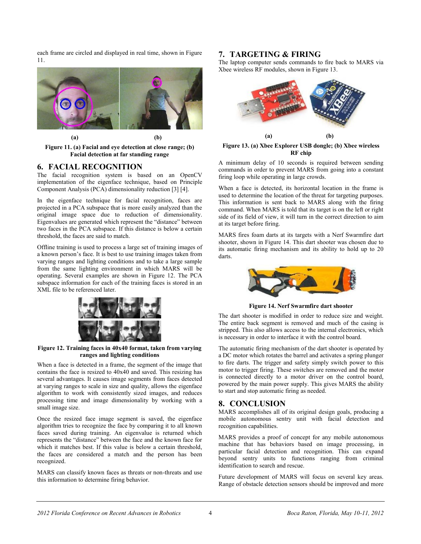each frame are circled and displayed in real time, shown in Figure 11.



**Figure 11. (a) Facial and eye detection at close range; (b) Facial detection at far standing range**

# **6. FACIAL RECOGNITION**

The facial recognition system is based on an OpenCV implementation of the eigenface technique, based on Principle Component Analysis (PCA) dimensionality reduction [3] [4].

In the eigenface technique for facial recognition, faces are projected in a PCA subspace that is more easily analyzed than the original image space due to reduction of dimensionality. Eigenvalues are generated which represent the "distance" between two faces in the PCA subspace. If this distance is below a certain threshold, the faces are said to match.

Offline training is used to process a large set of training images of a known person's face. It is best to use training images taken from varying ranges and lighting conditions and to take a large sample from the same lighting environment in which MARS will be operating. Several examples are shown in Figure 12. The PCA subspace information for each of the training faces is stored in an XML file to be referenced later.



**Figure 12. Training faces in 40x40 format, taken from varying ranges and lighting conditions**

When a face is detected in a frame, the segment of the image that contains the face is resized to 40x40 and saved. This resizing has several advantages. It causes image segments from faces detected at varying ranges to scale in size and quality, allows the eigenface algorithm to work with consistently sized images, and reduces processing time and image dimensionality by working with a small image size.

Once the resized face image segment is saved, the eigenface algorithm tries to recognize the face by comparing it to all known faces saved during training. An eigenvalue is returned which represents the "distance" between the face and the known face for which it matches best. If this value is below a certain threshold, the faces are considered a match and the person has been recognized.

MARS can classify known faces as threats or non-threats and use this information to determine firing behavior.

# **7. TARGETING & FIRING**

The laptop computer sends commands to fire back to MARS via Xbee wireless RF modules, shown in Figure 13.



**Figure 13. (a) Xbee Explorer USB dongle; (b) Xbee wireless RF chip**

A minimum delay of 10 seconds is required between sending commands in order to prevent MARS from going into a constant firing loop while operating in large crowds.

When a face is detected, its horizontal location in the frame is used to determine the location of the threat for targeting purposes. This information is sent back to MARS along with the firing command. When MARS is told that its target is on the left or right side of its field of view, it will turn in the correct direction to aim at its target before firing.

MARS fires foam darts at its targets with a Nerf Swarmfire dart shooter, shown in Figure 14. This dart shooter was chosen due to its automatic firing mechanism and its ability to hold up to 20 darts.



**Figure 14. Nerf Swarmfire dart shooter**

The dart shooter is modified in order to reduce size and weight. The entire back segment is removed and much of the casing is stripped. This also allows access to the internal electronics, which is necessary in order to interface it with the control board.

The automatic firing mechanism of the dart shooter is operated by a DC motor which rotates the barrel and activates a spring plunger to fire darts. The trigger and safety simply switch power to this motor to trigger firing. These switches are removed and the motor is connected directly to a motor driver on the control board, powered by the main power supply. This gives MARS the ability to start and stop automatic firing as needed.

# **8. CONCLUSION**

MARS accomplishes all of its original design goals, producing a mobile autonomous sentry unit with facial detection and recognition capabilities.

MARS provides a proof of concept for any mobile autonomous machine that has behaviors based on image processing, in particular facial detection and recognition. This can expand beyond sentry units to functions ranging from criminal identification to search and rescue.

Future development of MARS will focus on several key areas. Range of obstacle detection sensors should be improved and more